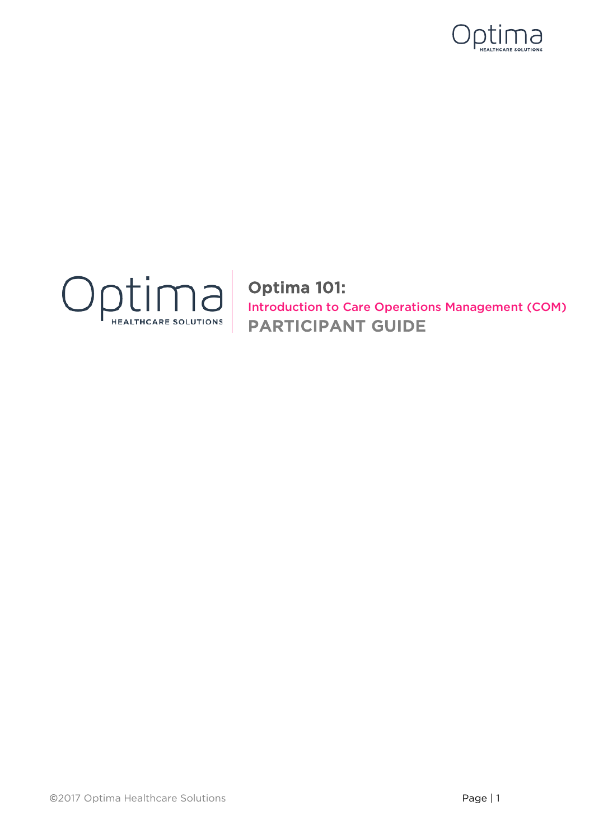



Optima 101: Introduction to Care Operations Management (COM) PARTICIPANT GUIDE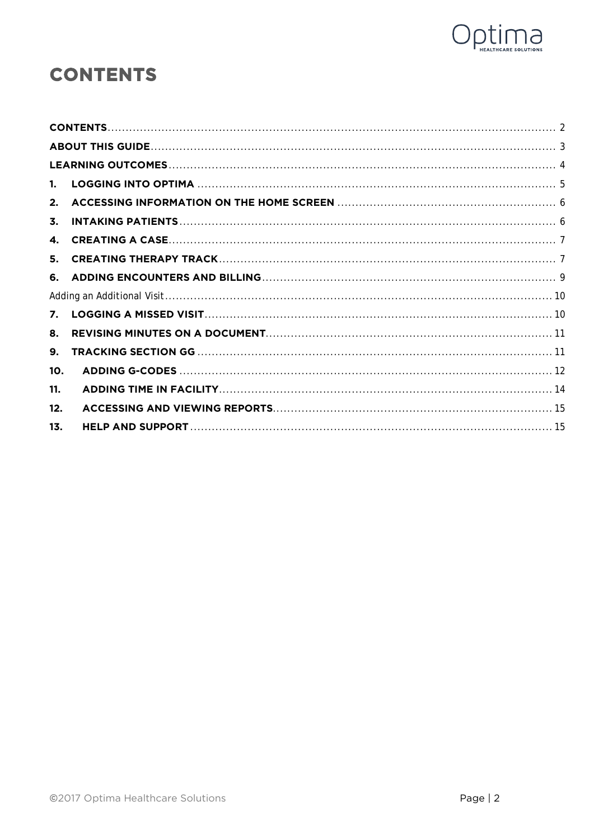

## <span id="page-1-0"></span>**CONTENTS**

| $1_{-}$ |  |
|---------|--|
| 2.      |  |
| 3.      |  |
| 4.      |  |
| 5.      |  |
|         |  |
|         |  |
| 7.      |  |
| 8.      |  |
| 9.      |  |
| 10.     |  |
| 11.     |  |
| 12.     |  |
| 13.     |  |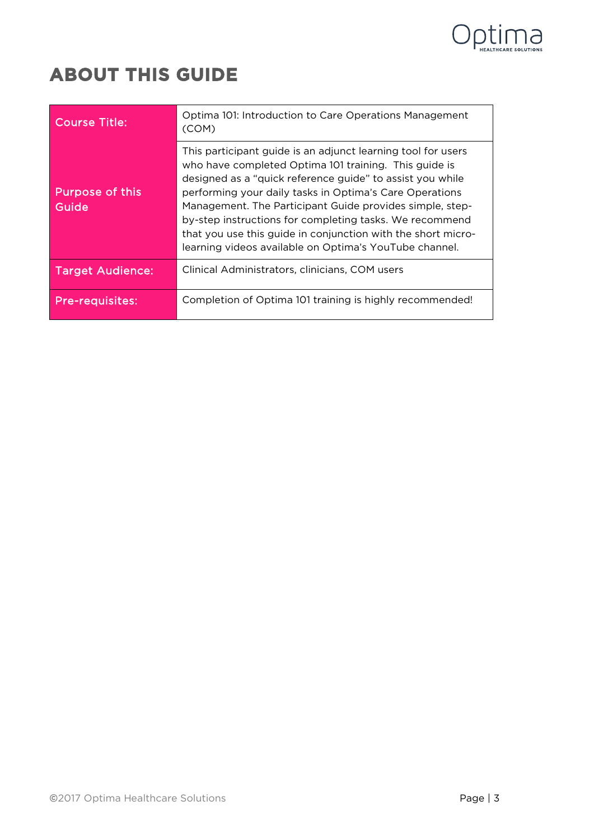

## <span id="page-2-0"></span>**ABOUT THIS GUIDE**

| <b>Course Title:</b>            | Optima 101: Introduction to Care Operations Management<br>(COM)                                                                                                                                                                                                                                                                                                                                                                                                                                |
|---------------------------------|------------------------------------------------------------------------------------------------------------------------------------------------------------------------------------------------------------------------------------------------------------------------------------------------------------------------------------------------------------------------------------------------------------------------------------------------------------------------------------------------|
| <b>Purpose of this</b><br>Guide | This participant guide is an adjunct learning tool for users<br>who have completed Optima 101 training. This guide is<br>designed as a "quick reference guide" to assist you while<br>performing your daily tasks in Optima's Care Operations<br>Management. The Participant Guide provides simple, step-<br>by-step instructions for completing tasks. We recommend<br>that you use this guide in conjunction with the short micro-<br>learning videos available on Optima's YouTube channel. |
| <b>Target Audience:</b>         | Clinical Administrators, clinicians, COM users                                                                                                                                                                                                                                                                                                                                                                                                                                                 |
| <b>Pre-requisites:</b>          | Completion of Optima 101 training is highly recommended!                                                                                                                                                                                                                                                                                                                                                                                                                                       |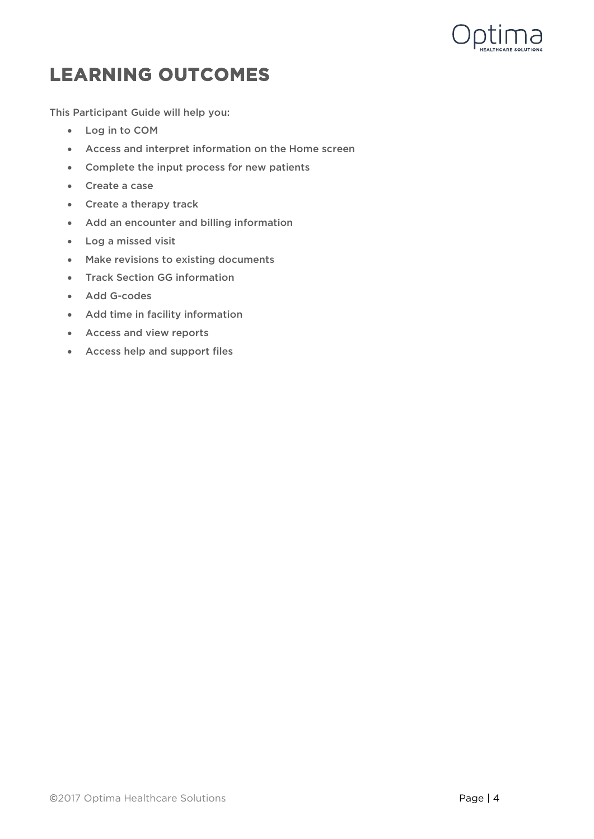

## <span id="page-3-0"></span>**LEARNING OUTCOMES**

This Participant Guide will help you:

- Log in to COM
- Access and interpret information on the Home screen
- Complete the input process for new patients
- Create a case
- Create a therapy track
- Add an encounter and billing information
- Log a missed visit
- Make revisions to existing documents
- **Track Section GG information**
- Add G-codes
- Add time in facility information
- Access and view reports
- Access help and support files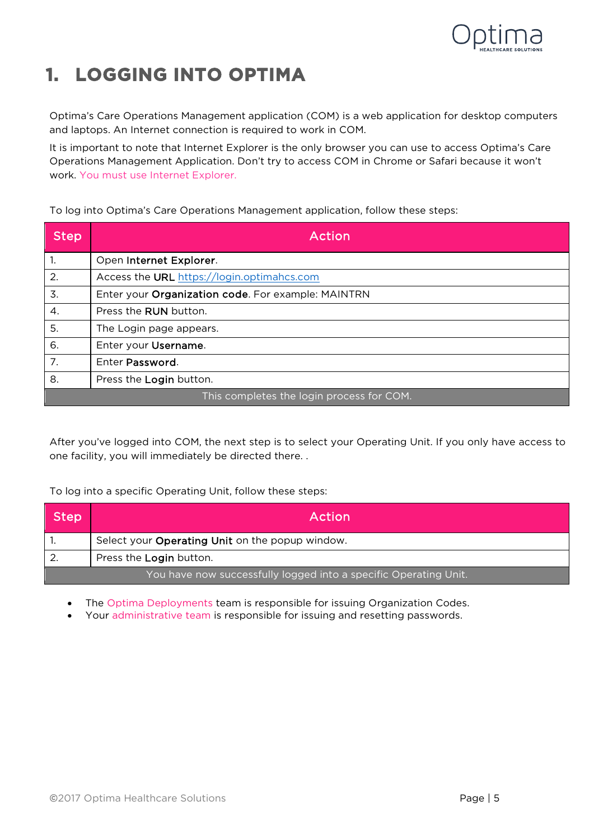

# <span id="page-4-0"></span>**1. LOGGING INTO OPTIMA**

Optima's Care Operations Management application (COM) is a web application for desktop computers and laptops. An Internet connection is required to work in COM.

It is important to note that Internet Explorer is the only browser you can use to access Optima's Care Operations Management Application. Don't try to access COM in Chrome or Safari because it won't work. You must use Internet Explorer.

To log into Optima's Care Operations Management application, follow these steps:

| <b>Step</b>                               | Action                                             |
|-------------------------------------------|----------------------------------------------------|
| 1.                                        | Open Internet Explorer.                            |
| 2.                                        | Access the URL https://login.optimahcs.com         |
| 3.                                        | Enter your Organization code. For example: MAINTRN |
| 4.                                        | Press the <b>RUN</b> button.                       |
| 5.                                        | The Login page appears.                            |
| 6.                                        | Enter your Username.                               |
| 7.                                        | Enter Password.                                    |
| 8.                                        | Press the Login button.                            |
| This completes the login process for COM. |                                                    |

After you've logged into COM, the next step is to select your Operating Unit. If you only have access to one facility, you will immediately be directed there. .

To log into a specific Operating Unit, follow these steps:

| Step | Action                                                           |
|------|------------------------------------------------------------------|
|      | Select your Operating Unit on the popup window.                  |
|      | Press the Login button.                                          |
|      | You have now successfully logged into a specific Operating Unit. |

• The Optima Deployments team is responsible for issuing Organization Codes.

• Your administrative team is responsible for issuing and resetting passwords.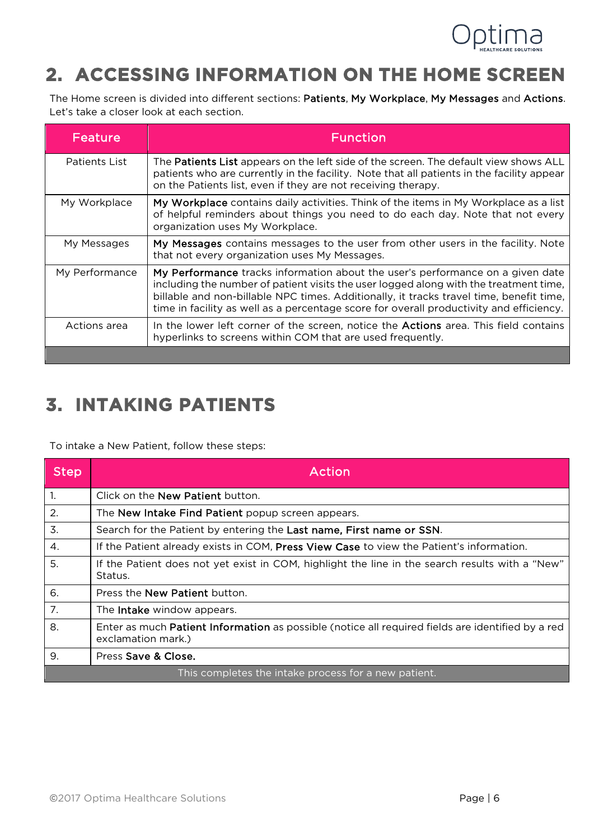

# <span id="page-5-0"></span>**2. ACCESSING INFORMATION ON THE HOME SCREEN**

The Home screen is divided into different sections: Patients, My Workplace, My Messages and Actions. Let's take a closer look at each section.

| Feature        | <b>Function</b>                                                                                                                                                                                                                                                                                                                                               |
|----------------|---------------------------------------------------------------------------------------------------------------------------------------------------------------------------------------------------------------------------------------------------------------------------------------------------------------------------------------------------------------|
| Patients List  | The <b>Patients List</b> appears on the left side of the screen. The default view shows ALL<br>patients who are currently in the facility. Note that all patients in the facility appear<br>on the Patients list, even if they are not receiving therapy.                                                                                                     |
| My Workplace   | My Workplace contains daily activities. Think of the items in My Workplace as a list<br>of helpful reminders about things you need to do each day. Note that not every<br>organization uses My Workplace.                                                                                                                                                     |
| My Messages    | My Messages contains messages to the user from other users in the facility. Note<br>that not every organization uses My Messages.                                                                                                                                                                                                                             |
| My Performance | My Performance tracks information about the user's performance on a given date<br>including the number of patient visits the user logged along with the treatment time,<br>billable and non-billable NPC times. Additionally, it tracks travel time, benefit time,<br>time in facility as well as a percentage score for overall productivity and efficiency. |
| Actions area   | In the lower left corner of the screen, notice the <b>Actions</b> area. This field contains<br>hyperlinks to screens within COM that are used frequently.                                                                                                                                                                                                     |
|                |                                                                                                                                                                                                                                                                                                                                                               |

## <span id="page-5-1"></span>**3. INTAKING PATIENTS**

To intake a New Patient, follow these steps:

| <b>Step</b>    | Action                                                                                                                         |
|----------------|--------------------------------------------------------------------------------------------------------------------------------|
| $\mathbf{1}$ . | Click on the <b>New Patient</b> button.                                                                                        |
| 2.             | The New Intake Find Patient popup screen appears.                                                                              |
| 3.             | Search for the Patient by entering the Last name, First name or SSN.                                                           |
| 4.             | If the Patient already exists in COM, Press View Case to view the Patient's information.                                       |
| 5.             | If the Patient does not yet exist in COM, highlight the line in the search results with a "New"<br>Status.                     |
| 6.             | Press the <b>New Patient</b> button.                                                                                           |
| 7.             | The Intake window appears.                                                                                                     |
| 8.             | Enter as much <b>Patient Information</b> as possible (notice all required fields are identified by a red<br>exclamation mark.) |
| 9.             | Press Save & Close.                                                                                                            |
|                | This completes the intake process for a new patient.                                                                           |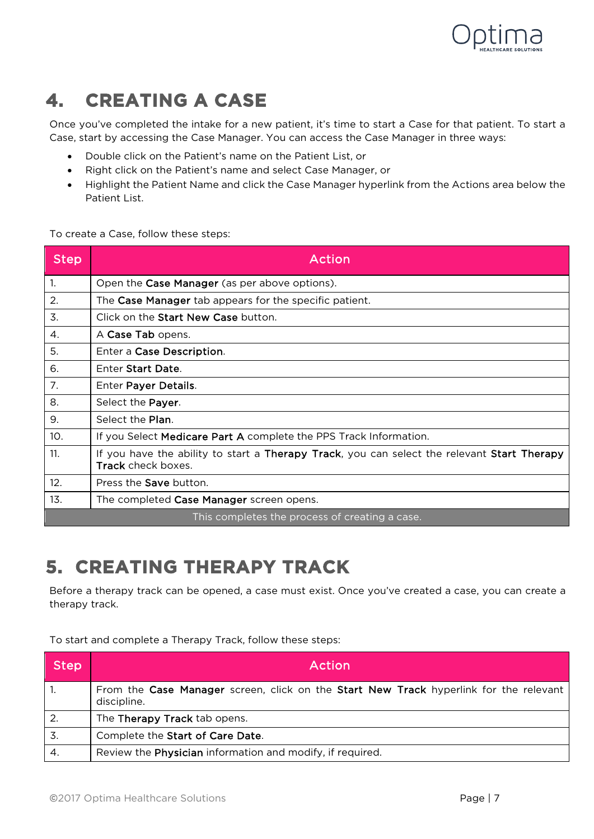

## <span id="page-6-0"></span>**4. CREATING A CASE**

Once you've completed the intake for a new patient, it's time to start a Case for that patient. To start a Case, start by accessing the Case Manager. You can access the Case Manager in three ways:

- Double click on the Patient's name on the Patient List, or
- Right click on the Patient's name and select Case Manager, or
- Highlight the Patient Name and click the Case Manager hyperlink from the Actions area below the Patient List.

To create a Case, follow these steps:

| <b>Step</b> | Action                                                                                                            |
|-------------|-------------------------------------------------------------------------------------------------------------------|
| 1.          | Open the Case Manager (as per above options).                                                                     |
| 2.          | The Case Manager tab appears for the specific patient.                                                            |
| 3.          | Click on the Start New Case button.                                                                               |
| 4.          | A Case Tab opens.                                                                                                 |
| 5.          | Enter a Case Description.                                                                                         |
| 6.          | Enter Start Date.                                                                                                 |
| 7.          | Enter Payer Details.                                                                                              |
| 8.          | Select the Payer.                                                                                                 |
| 9.          | Select the Plan.                                                                                                  |
| 10.         | If you Select Medicare Part A complete the PPS Track Information.                                                 |
| 11.         | If you have the ability to start a Therapy Track, you can select the relevant Start Therapy<br>Track check boxes. |
| 12.         | Press the <b>Save</b> button.                                                                                     |
| 13.         | The completed Case Manager screen opens.                                                                          |
|             | This completes the process of creating a case.                                                                    |

## <span id="page-6-1"></span>**5. CREATING THERAPY TRACK**

Before a therapy track can be opened, a case must exist. Once you've created a case, you can create a therapy track.

To start and complete a Therapy Track, follow these steps:

| <b>Step</b>      | Action                                                                                               |
|------------------|------------------------------------------------------------------------------------------------------|
|                  | From the Case Manager screen, click on the Start New Track hyperlink for the relevant<br>discipline. |
| 2.               | The Therapy Track tab opens.                                                                         |
| 3.               | Complete the Start of Care Date.                                                                     |
| $\overline{4}$ . | Review the Physician information and modify, if required.                                            |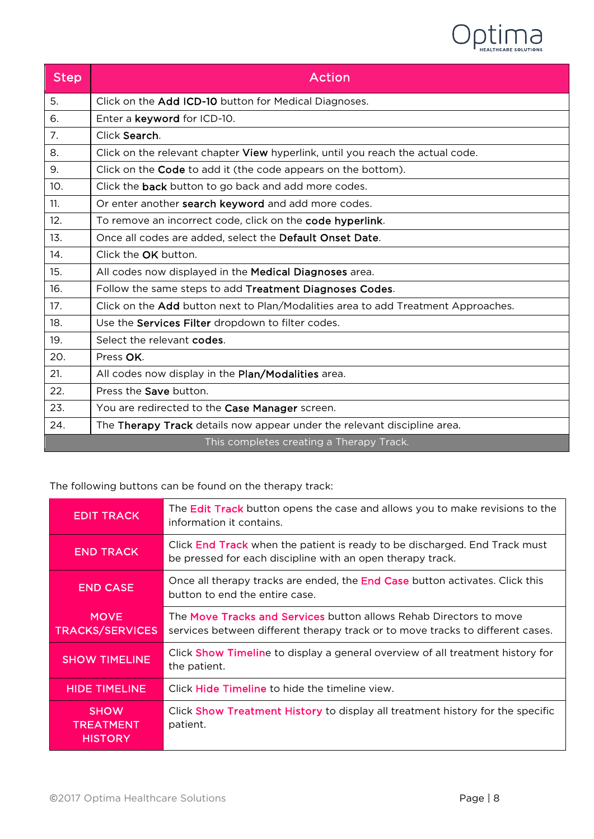

| <b>Step</b>     | <b>Action</b>                                                                     |
|-----------------|-----------------------------------------------------------------------------------|
| 5.              | Click on the Add ICD-10 button for Medical Diagnoses.                             |
| 6.              | Enter a keyword for ICD-10.                                                       |
| 7.              | Click Search.                                                                     |
| 8.              | Click on the relevant chapter View hyperlink, until you reach the actual code.    |
| 9.              | Click on the Code to add it (the code appears on the bottom).                     |
| 10 <sub>1</sub> | Click the <b>back</b> button to go back and add more codes.                       |
| 11.             | Or enter another search keyword and add more codes.                               |
| 12.             | To remove an incorrect code, click on the code hyperlink.                         |
| 13.             | Once all codes are added, select the Default Onset Date.                          |
| 14.             | Click the OK button.                                                              |
| 15.             | All codes now displayed in the <b>Medical Diagnoses</b> area.                     |
| 16.             | Follow the same steps to add Treatment Diagnoses Codes.                           |
| 17.             | Click on the Add button next to Plan/Modalities area to add Treatment Approaches. |
| 18.             | Use the Services Filter dropdown to filter codes.                                 |
| 19.             | Select the relevant codes.                                                        |
| 20.             | Press OK.                                                                         |
| 21.             | All codes now display in the Plan/Modalities area.                                |
| 22.             | Press the Save button.                                                            |
| 23.             | You are redirected to the Case Manager screen.                                    |
| 24.             | The Therapy Track details now appear under the relevant discipline area.          |
|                 | This completes creating a Therapy Track.                                          |

The following buttons can be found on the therapy track:

| <b>EDIT TRACK</b>                                 | The Edit Track button opens the case and allows you to make revisions to the<br>information it contains.                                             |
|---------------------------------------------------|------------------------------------------------------------------------------------------------------------------------------------------------------|
| <b>END TRACK</b>                                  | Click <b>End Track</b> when the patient is ready to be discharged. End Track must<br>be pressed for each discipline with an open therapy track.      |
| <b>END CASE</b>                                   | Once all therapy tracks are ended, the End Case button activates. Click this<br>button to end the entire case.                                       |
| <b>MOVE</b><br><b>TRACKS/SERVICES</b>             | The Move Tracks and Services button allows Rehab Directors to move<br>services between different therapy track or to move tracks to different cases. |
| <b>SHOW TIMELINE</b>                              | Click <b>Show Timeline</b> to display a general overview of all treatment history for<br>the patient.                                                |
| <b>HIDE TIMELINE</b>                              | Click <b>Hide Timeline</b> to hide the timeline view.                                                                                                |
| <b>SHOW</b><br><b>TREATMENT</b><br><b>HISTORY</b> | Click Show Treatment History to display all treatment history for the specific<br>patient.                                                           |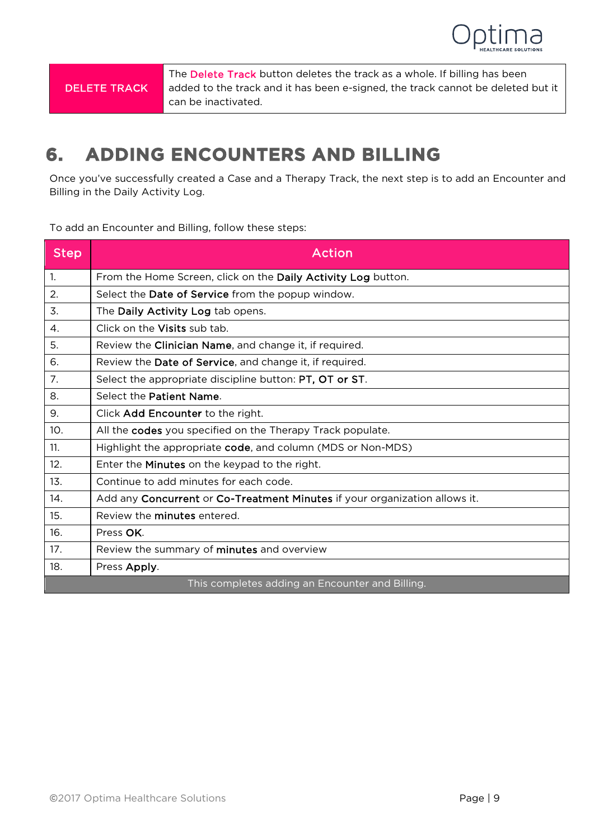

The Delete Track button deletes the track as a whole. If billing has been added to the track and it has been e-signed, the track cannot be deleted but it can be inactivated.

### <span id="page-8-0"></span>**6. ADDING ENCOUNTERS AND BILLING**

Once you've successfully created a Case and a Therapy Track, the next step is to add an Encounter and Billing in the Daily Activity Log.

To add an Encounter and Billing, follow these steps:

| <b>Step</b>    | <b>Action</b>                                                              |
|----------------|----------------------------------------------------------------------------|
| $\mathbf{1}$ . | From the Home Screen, click on the Daily Activity Log button.              |
| 2.             | Select the Date of Service from the popup window.                          |
| 3.             | The Daily Activity Log tab opens.                                          |
| 4.             | Click on the Visits sub tab.                                               |
| 5.             | Review the Clinician Name, and change it, if required.                     |
| 6.             | Review the Date of Service, and change it, if required.                    |
| 7.             | Select the appropriate discipline button: PT, OT or ST.                    |
| 8.             | Select the Patient Name.                                                   |
| 9.             | Click Add Encounter to the right.                                          |
| 10.            | All the codes you specified on the Therapy Track populate.                 |
| 11.            | Highlight the appropriate code, and column (MDS or Non-MDS)                |
| 12.            | Enter the Minutes on the keypad to the right.                              |
| 13.            | Continue to add minutes for each code.                                     |
| 14.            | Add any Concurrent or Co-Treatment Minutes if your organization allows it. |
| 15.            | Review the <b>minutes</b> entered.                                         |
| 16.            | Press OK.                                                                  |
| 17.            | Review the summary of minutes and overview                                 |
| 18.            | Press Apply.                                                               |
|                | This completes adding an Encounter and Billing.                            |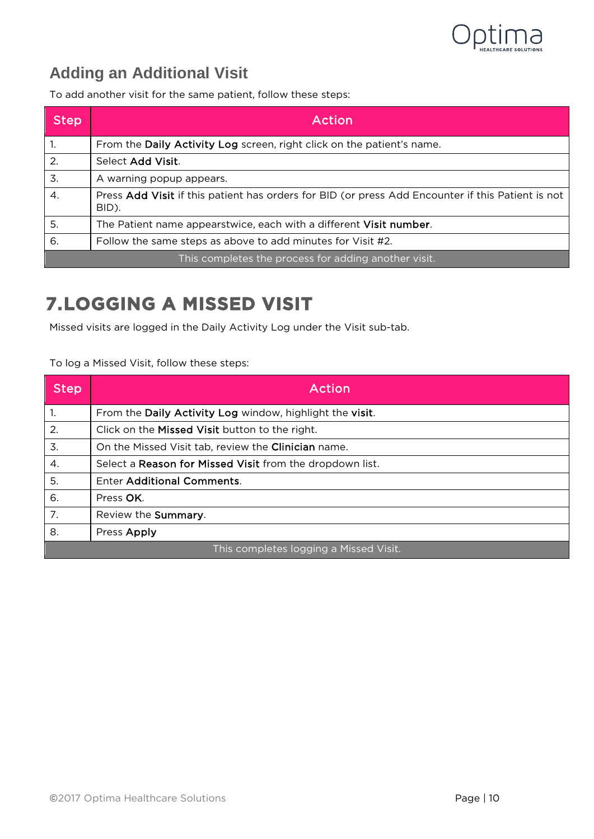

#### <span id="page-9-0"></span>**Adding an Additional Visit**

To add another visit for the same patient, follow these steps:

| Step | Action                                                                                                     |
|------|------------------------------------------------------------------------------------------------------------|
| 1.   | From the Daily Activity Log screen, right click on the patient's name.                                     |
| 2.   | Select Add Visit.                                                                                          |
| 3.   | A warning popup appears.                                                                                   |
| 4.   | Press Add Visit if this patient has orders for BID (or press Add Encounter if this Patient is not<br>BID). |
| 5.   | The Patient name appearstwice, each with a different Visit number.                                         |
| 6.   | Follow the same steps as above to add minutes for Visit #2.                                                |
|      | This completes the process for adding another visit.                                                       |

#### <span id="page-9-1"></span>**7.LOGGING A MISSED VISIT**

Missed visits are logged in the Daily Activity Log under the Visit sub-tab.

#### To log a Missed Visit, follow these steps:

| <b>Step</b>                            | Action                                                   |
|----------------------------------------|----------------------------------------------------------|
| 1.                                     | From the Daily Activity Log window, highlight the visit. |
| 2.                                     | Click on the Missed Visit button to the right.           |
| 3.                                     | On the Missed Visit tab, review the Clinician name.      |
| 4.                                     | Select a Reason for Missed Visit from the dropdown list. |
| 5.                                     | <b>Enter Additional Comments.</b>                        |
| 6.                                     | Press OK.                                                |
| 7.                                     | Review the Summary.                                      |
| 8.                                     | Press Apply                                              |
| This completes logging a Missed Visit. |                                                          |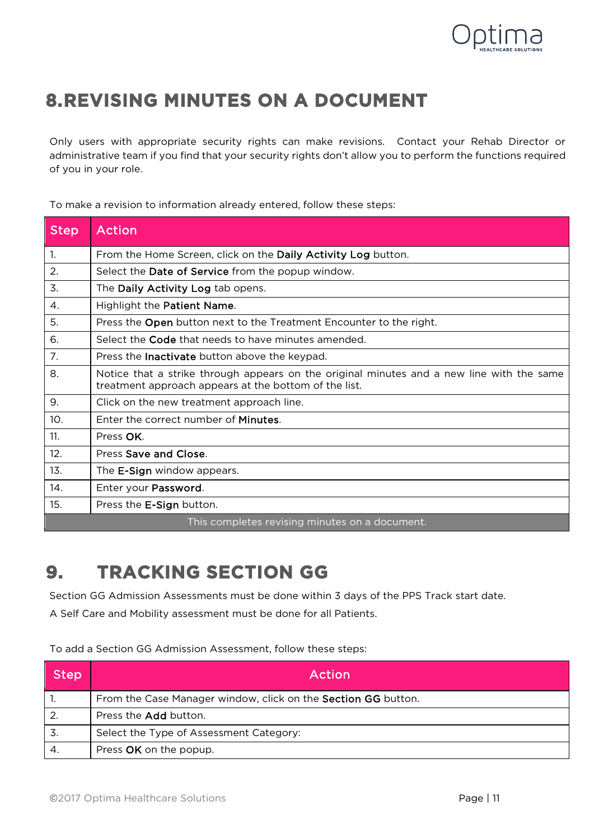

## <span id="page-10-0"></span>**8.REVISING MINUTES ON A DOCUMENT**

Only users with appropriate security rights can make revisions. Contact your Rehab Director or administrative team if you find that your security rights don't allow you to perform the functions required of you in your role.

To make a revision to information already entered, follow these steps:

| <b>Step</b> | <b>Action</b>                                                                                                                                      |
|-------------|----------------------------------------------------------------------------------------------------------------------------------------------------|
| 1.          | From the Home Screen, click on the Daily Activity Log button.                                                                                      |
| 2.          | Select the Date of Service from the popup window.                                                                                                  |
| 3.          | The Daily Activity Log tab opens.                                                                                                                  |
| 4.          | Highlight the Patient Name.                                                                                                                        |
| 5.          | Press the Open button next to the Treatment Encounter to the right.                                                                                |
| 6.          | Select the <b>Code</b> that needs to have minutes amended.                                                                                         |
| 7.          | Press the <b>Inactivate</b> button above the keypad.                                                                                               |
| 8.          | Notice that a strike through appears on the original minutes and a new line with the same<br>treatment approach appears at the bottom of the list. |
| 9.          | Click on the new treatment approach line.                                                                                                          |
| 10.         | Enter the correct number of <b>Minutes</b> .                                                                                                       |
| 11.         | Press OK.                                                                                                                                          |
| 12.         | Press Save and Close.                                                                                                                              |
| 13.         | The <b>E-Sign</b> window appears.                                                                                                                  |
| 14.         | Enter your Password.                                                                                                                               |
| 15.         | Press the E-Sign button.                                                                                                                           |
|             | This completes revising minutes on a document.                                                                                                     |

## <span id="page-10-1"></span>**9. TRACKING SECTION GG**

Section GG Admission Assessments must be done within 3 days of the PPS Track start date.

A Self Care and Mobility assessment must be done for all Patients.

To add a Section GG Admission Assessment, follow these steps:

| <b>Step</b>    | Action                                                        |
|----------------|---------------------------------------------------------------|
|                | From the Case Manager window, click on the Section GG button. |
| $\overline{2}$ | Press the Add button.                                         |
| .3.            | Select the Type of Assessment Category:                       |
|                | Press OK on the popup.                                        |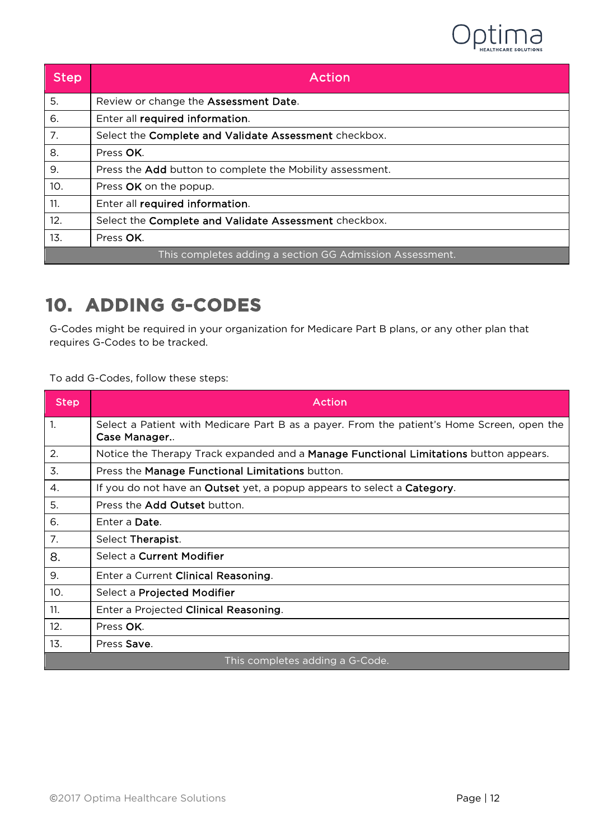

| <b>Step</b> | Action                                                    |
|-------------|-----------------------------------------------------------|
| 5.          | Review or change the Assessment Date.                     |
| 6.          | Enter all required information.                           |
| 7.          | Select the Complete and Validate Assessment checkbox.     |
| 8.          | Press OK.                                                 |
| 9.          | Press the Add button to complete the Mobility assessment. |
| 10.         | Press OK on the popup.                                    |
| 11.         | Enter all required information.                           |
| 12.         | Select the Complete and Validate Assessment checkbox.     |
| 13.         | Press OK.                                                 |
|             | This completes adding a section GG Admission Assessment.  |

#### <span id="page-11-0"></span>**10. ADDING G-CODES**

G-Codes might be required in your organization for Medicare Part B plans, or any other plan that requires G-Codes to be tracked.

To add G-Codes, follow these steps:

| <b>Step</b>                     | <b>Action</b>                                                                                              |
|---------------------------------|------------------------------------------------------------------------------------------------------------|
| $\mathbf{1}$ .                  | Select a Patient with Medicare Part B as a payer. From the patient's Home Screen, open the<br>Case Manager |
| 2.                              | Notice the Therapy Track expanded and a Manage Functional Limitations button appears.                      |
| 3.                              | Press the Manage Functional Limitations button.                                                            |
| 4.                              | If you do not have an Outset yet, a popup appears to select a Category.                                    |
| 5.                              | Press the Add Outset button.                                                                               |
| 6.                              | Enter a Date.                                                                                              |
| 7.                              | Select Therapist.                                                                                          |
| 8.                              | Select a Current Modifier                                                                                  |
| 9.                              | Enter a Current Clinical Reasoning.                                                                        |
| 10.                             | Select a <b>Projected Modifier</b>                                                                         |
| 11.                             | Enter a Projected Clinical Reasoning.                                                                      |
| 12.                             | Press OK.                                                                                                  |
| 13.                             | Press Save.                                                                                                |
| This completes adding a G-Code. |                                                                                                            |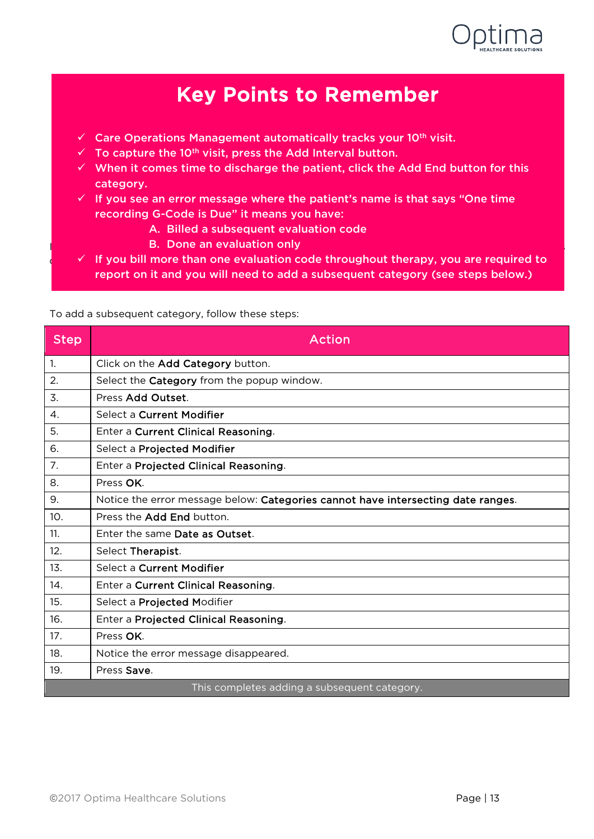

### Key Points to Remember

- $\checkmark$  Care Operations Management automatically tracks your 10<sup>th</sup> visit.
- $\checkmark$  To capture the 10<sup>th</sup> visit, press the Add Interval button.
- $\checkmark$  When it comes time to discharge the patient, click the Add End button for this category.
- $\checkmark$  If you see an error message where the patient's name is that says "One time recording G-Code is Due" it means you have:
	- A. Billed a subsequent evaluation code
- If you see an Error message where the Patient's name is listed and it says "One time recording G-Code is B. Done an evaluation only
- $\frac{1}{2}$  of the vou bill more than one evaluation code throughout therapy, you are required to report on it and you will need to add a subsequent category (see steps below<mark>.</mark>)

| <b>Step</b>           | Action                                                                           |
|-----------------------|----------------------------------------------------------------------------------|
| $\overline{1}$ .      | Click on the Add Category button.                                                |
| 2.                    | Select the Category from the popup window.                                       |
| 3.                    | Press Add Outset.                                                                |
| $\mathcal{A}_{\cdot}$ | Select a Current Modifier                                                        |
| 5.                    | Enter a Current Clinical Reasoning.                                              |
| 6.                    | Select a Projected Modifier                                                      |
| 7 <sub>1</sub>        | Enter a Projected Clinical Reasoning.                                            |
| 8.                    | Press OK.                                                                        |
| 9.                    | Notice the error message below: Categories cannot have intersecting date ranges. |
| 10.                   | Press the Add End button.                                                        |
| 11.                   | Enter the same Date as Outset.                                                   |
| 12.                   | Select Therapist.                                                                |
| 13.                   | Select a Current Modifier                                                        |
| 14.                   | Enter a Current Clinical Reasoning.                                              |
| 15.                   | Select a Projected Modifier                                                      |
| 16.                   | Enter a Projected Clinical Reasoning.                                            |
| 17.                   | Press OK.                                                                        |
| 18.                   | Notice the error message disappeared.                                            |
| 19.                   | Press Save.                                                                      |
|                       | This completes adding a subsequent category.                                     |

To add a subsequent category, follow these steps:

l, I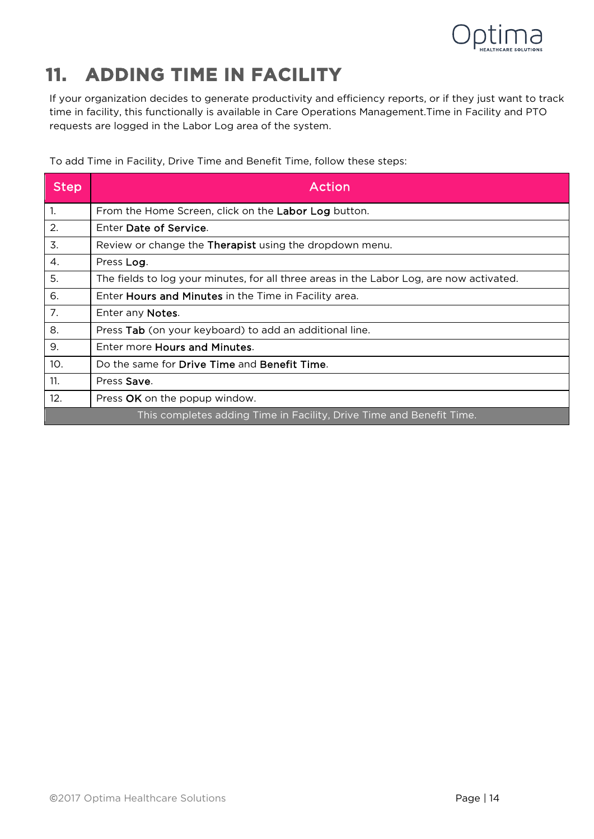

# <span id="page-13-0"></span>**11. ADDING TIME IN FACILITY**

If your organization decides to generate productivity and efficiency reports, or if they just want to track time in facility, this functionally is available in Care Operations Management.Time in Facility and PTO requests are logged in the Labor Log area of the system.

To add Time in Facility, Drive Time and Benefit Time, follow these steps:

| <b>Step</b> | Action                                                                                   |
|-------------|------------------------------------------------------------------------------------------|
| 1.          | From the Home Screen, click on the Labor Log button.                                     |
| 2.          | Enter Date of Service.                                                                   |
| 3.          | Review or change the <b>Therapist</b> using the dropdown menu.                           |
| 4.          | Press Log.                                                                               |
| 5.          | The fields to log your minutes, for all three areas in the Labor Log, are now activated. |
| 6.          | Enter Hours and Minutes in the Time in Facility area.                                    |
| 7.          | Enter any Notes.                                                                         |
| 8.          | Press Tab (on your keyboard) to add an additional line.                                  |
| 9.          | Enter more <b>Hours and Minutes.</b>                                                     |
| 10.         | Do the same for Drive Time and Benefit Time.                                             |
| 11.         | Press Save.                                                                              |
| 12.         | Press OK on the popup window.                                                            |
|             | This completes adding Time in Facility, Drive Time and Benefit Time.                     |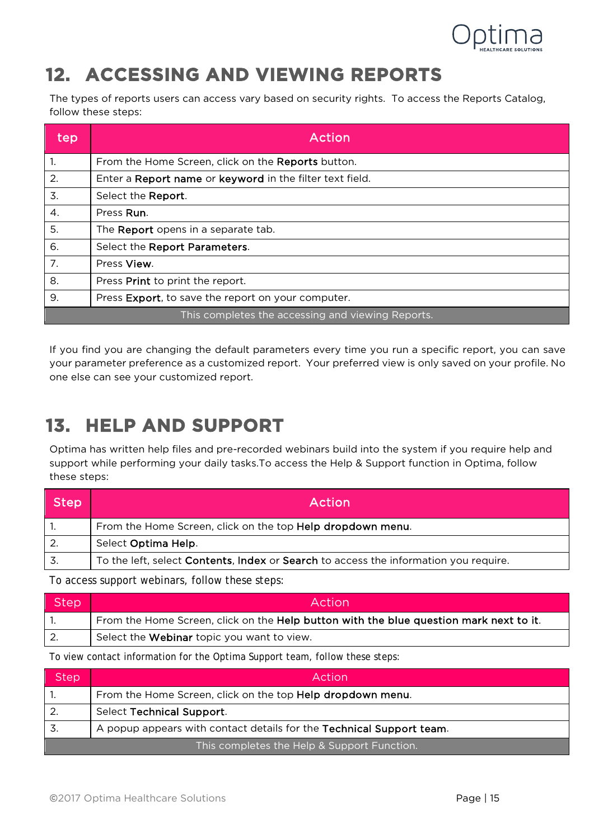

## <span id="page-14-0"></span>**12. ACCESSING AND VIEWING REPORTS**

The types of reports users can access vary based on security rights. To access the Reports Catalog, follow these steps:

| tep | Action                                                    |
|-----|-----------------------------------------------------------|
| 1.  | From the Home Screen, click on the <b>Reports</b> button. |
| 2.  | Enter a Report name or keyword in the filter text field.  |
| 3.  | Select the <b>Report</b> .                                |
| 4.  | Press Run.                                                |
| 5.  | The <b>Report</b> opens in a separate tab.                |
| 6.  | Select the Report Parameters.                             |
| 7.  | Press View.                                               |
| 8.  | Press Print to print the report.                          |
| 9.  | Press Export, to save the report on your computer.        |
|     | This completes the accessing and viewing Reports.         |

If you find you are changing the default parameters every time you run a specific report, you can save your parameter preference as a customized report. Your preferred view is only saved on your profile. No one else can see your customized report.

## <span id="page-14-1"></span>**13. HELP AND SUPPORT**

Optima has written help files and pre-recorded webinars build into the system if you require help and support while performing your daily tasks.To access the Help & Support function in Optima, follow these steps:

| Step | Action                                                                               |
|------|--------------------------------------------------------------------------------------|
|      | From the Home Screen, click on the top Help dropdown menu.                           |
|      | Select Optima Help.                                                                  |
|      | To the left, select Contents, Index or Search to access the information you require. |

To access support webinars, follow these steps:

| Step | Action                                                                                 |
|------|----------------------------------------------------------------------------------------|
|      | From the Home Screen, click on the Help button with the blue question mark next to it. |
|      | Select the Webinar topic you want to view.                                             |

To view contact information for the Optima Support team, follow these steps:

| <b>Step</b> | Action                                                               |
|-------------|----------------------------------------------------------------------|
|             | From the Home Screen, click on the top Help dropdown menu.           |
|             | Select Technical Support.                                            |
| 3.          | A popup appears with contact details for the Technical Support team. |
|             | This completes the Help & Support Function.                          |